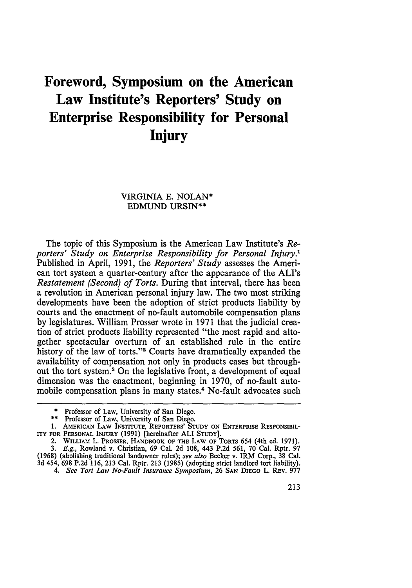## **Foreword, Symposium on the American Law Institute's Reporters' Study on Enterprise Responsibility for Personal Injury**

## VIRGINIA **E.** NOLAN\* EDMUND URSIN\*\*

The topic of this Symposium is the American Law Institute's *Reporters' Study on Enterprise Responsibility for Personal Injury.'* Published in April, 1991, the *Reporters' Study* assesses the American tort system a quarter-century after the appearance of the ALI's *Restatement (Second) of Torts.* During that interval, there has been a revolution in American personal injury law. The two most striking developments have been the adoption of strict products liability by courts and the enactment of no-fault automobile compensation plans by legislatures. William Prosser wrote in 1971 that the judicial creation of strict products liability represented "the most rapid and altogether spectacular overturn of an established rule in the entire history of the law of torts."<sup>2</sup> Courts have dramatically expanded the availability of compensation not only in products cases but throughout the tort system.3 On the legislative front, a development of equal dimension was the enactment, beginning in 1970, of no-fault automobile compensation plans in many states.<sup>4</sup> No-fault advocates such

**<sup>\*</sup>** Professor of Law, University of San Diego.

<sup>\*\*</sup> Professor of Law, University of San Diego.

**<sup>1.</sup> AMERICAN** LAW **INSTITUTE,** REPORTERS' **STUDY ON ENTERPRISE RESPONSIBIL-ITY** FOR **PERSONAL INJURY (1991)** [hereinafter ALI **STUDY].**

<sup>2.</sup> WILLIAM L. PROSSER, **HANDBOOK OF THE** LAW **OF TORTS** 654 (4th **ed. 1971).** *3. E.g.,* Rowland **v.** Christian, *69* Cal. 2d 108, 443 **P.2d** 561, 70 Cal. **Rptr. 97**

<sup>(1968) (</sup>abolishing traditional landowner rules); see also **Becker v.** IRM Corp., **38** Cal. 3d 454, **698** P.2d 116, 213 **Cal. Rptr. 213** (1985) (adopting strict landlord tort liability).

*<sup>4.</sup> See Tort Law No-Fault Insurance Symposium,* **26 SAN** DIEGO L. REV. **977**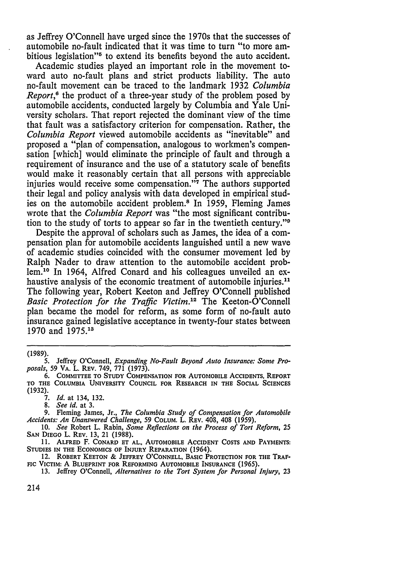as Jeffrey O'Connell have urged since the 1970s that the successes of automobile no-fault indicated that it was time to turn "to more ambitious legislation"<sup>5</sup> to extend its benefits beyond the auto accident.

Academic studies played an important role in the movement toward auto no-fault plans and strict products liability. The auto no-fault movement can be traced to the landmark 1932 *Columbia Report*,<sup>6</sup> the product of a three-year study of the problem posed by automobile accidents, conducted largely by Columbia and Yale University scholars. That report rejected the dominant view of the time that fault was a satisfactory criterion for compensation. Rather, the *Columbia Report* viewed automobile accidents as "inevitable" and proposed a "plan of compensation, analogous to workmen's compensation [which] would eliminate the principle of fault and through a requirement of insurance and the use of a statutory scale of benefits would make it reasonably certain that all persons with appreciable injuries would receive some compensation."<sup>7</sup> The authors supported their legal and policy analysis with data developed in empirical studies on the automobile accident problem.8 In 1959, Fleming James wrote that the *Columbia Report* was "the most significant contribution to the study of torts to appear so far in the twentieth century." $9$ 

Despite the approval of scholars such as James, the idea of a compensation plan for automobile accidents languished until a new wave of academic studies coincided with the consumer movement led by Ralph Nader to draw attention to the automobile accident problem.<sup>10</sup> In 1964, Alfred Conard and his colleagues unveiled an exhaustive analysis of the economic treatment of automobile injuries.<sup>11</sup> The following year, Robert Keeton and Jeffrey O'Connell published *Basic Protection for the Traffic Victim.*<sup>12</sup> The Keeton-O'Connell plan became the model for reform, as some form of no-fault auto insurance gained legislative acceptance in twenty-four states between 1970 and **1975.1'**

(1989).

*7. Id.* at 134, 132.

*8. See id.* at 3.

9. Fleming James, Jr., *The Columbia Study of Compensation for Automobile Accidents: An Unanswered Challenge,* 59 **COLUM.** L. REV. 408, 408 (1959).

10. *See* Robert L. Rabin, *Some Reflections on the Process of Tort Reform*, 25<br>SAN DIEGO L. REV. 13, 21 (1988).

11. **ALFRED** F. **CONARD** ET **AL.,** AUTOMOBILE ACCIDENT **COSTS AND PAYMENTS: STUDIES IN THE ECONOMICS OF INJURY** REPARATION (1964).

12. **ROBERT KEETON** & **JEFFREY O'CONNELL, BASIC** PROTECTION **FOR THE TRAF-FIc VICTIM:** A **BLUEPRINT** FOR **REFORMING** AUTOMOBILE **INSURANCE** (1965).

**13.** Jeffrey O'Connell, *Alternatives to the Tort System for Personal Injury, 23*

214

<sup>5.</sup> Jeffrey O'Connell, *Expanding No-Fault Beyond Auto Insurance: Some Proposals,* 59 VA. L. REV. 749, 771 (1973).

**<sup>6.</sup> COMMITTEE TO STUDY COMPENSATION FOR AUTOMOBILE ACCIDENTS, REPORT** TO **THE COLUMBIA UNIVERSITY COUNCIL FOR RESEARCH IN THE SOCIAL SCIENCES (1932).**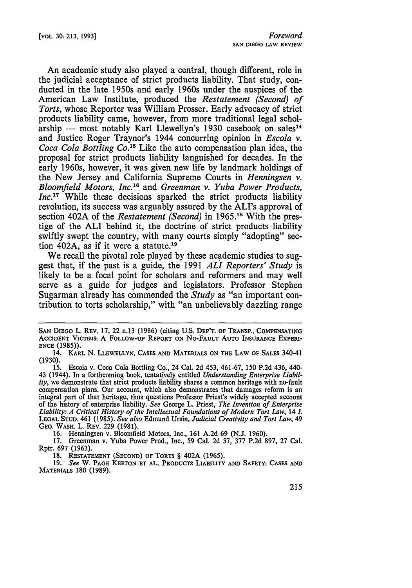An academic study also played a central, though different, role in the judicial acceptance of strict products liability. That study, conducted in the late 1950s and early 1960s under the auspices of the American Law Institute, produced the *Restatement (Second) of Torts,* whose Reporter was William Prosser. Early advocacy of strict products liability came, however, from more traditional legal scholarship - most notably Karl Llewellyn's 1930 casebook on sales<sup>14</sup> and Justice Roger Traynor's 1944 concurring opinion in *Escola v. Coca Cola Bottling Co.15* Like the auto compensation plan idea, the proposal for strict products liability languished for decades. In the early 1960s, however, it was given new life by landmark holdings of the New Jersey and California Supreme Courts in *Henningsen v. Bloomfield Motors, Inc.*<sup>16</sup> and *Greenman v. Yuba Power Products, Inc.*<sup>17</sup> While these decisions sparked the strict products liability revolution, its success was arguably assured by the ALI's approval of section 402A of the *Restatement (Second)* in 1965.18 With the prestige of the ALI behind it, the doctrine of strict products liability swiftly swept the country, with many courts simply "adopting" section 402A, as if it were a statute.19

We recall the pivotal role played by these academic studies to suggest that, if the past is a guide, the 1991 *ALl Reporters' Study* is likely to be a focal point for scholars and reformers and may well serve as a guide for judges and legislators. Professor Stephen Sugarman already has commended the *Study* as "an important contribution to torts scholarship," with "an unbelievably dazzling range

16. Henningsen v. Bloomfield Motors, Inc., 161 A.2d 69 (N.J. 1960).

17. Greenman v. Yuba Power Prod., Inc., 59 Cal. 2d 57, 377 P.2d 897, 27 Cal. Rptr. 697 (1963).

**18. RESTATEMENT (SECOND) OF TORTS** § 402A **(1965).**

*19. See* W. **PAGE KEETON ET AL., PRODUCTS LIABILITY AND SAFETY: CASES AND** MATERIALS 180 (1989).

**SAN DIEGO** L. REV. 17, 22 n.13 **(1986)** (citing **U.S. DEP'T.** OF TRANSP., **COMPENSATING ACCIDENT VICTIMS:** A **FOLLOW-UP REPORT ON** NO-FAULT **AUTO INSURANCE EXPERI-ENCE (1985)).**

<sup>14.</sup> KARL **N. LLEWELLYN, CASES AND** MATERIALS **ON THE LAW OF SALES** 340-41 (1930).

<sup>15.</sup> Escola v. Coca Cola Bottling Co., 24 Cal. 2d 453, 461-67, 150 P.2d 436, 440- 43 (1944). In a forthcoming book, tentatively entitled *Understanding Enterprise Liability,* we demonstrate that strict products liability shares a common heritage with no-fault compensation plans. Our account, which also demonstrates that damages reform is an integral part of that heritage, thus questions Professor Priest's widely accepted account of the history of enterprise liability. *See* George L. Priest, *The Invention of Enterprise Liability: A Critical History of the Intellectual Foundations of Modern Tort Law,* 14 J. **LEGAL STUD.** 461 (1985). *See also* Edmund Ursin, *Judicial Creativity and Tort Law, 49* **GEO. WASH.** L. REV. 229 (1981).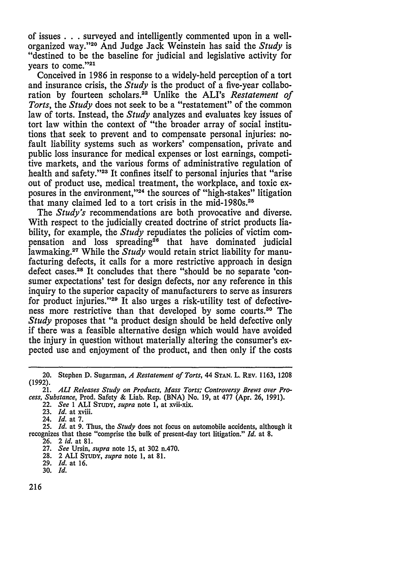of issues **. .** surveyed and intelligently commented upon in a wellorganized way."<sup>20</sup> And Judge Jack Weinstein has said the *Study* is "destined to be the baseline for judicial and legislative activity for years to come."<sup>2</sup>

Conceived in 1986 in response to a widely-held perception of a tort and insurance crisis, the *Study* is the product of a five-year collaboration by fourteen scholars.22 Unlike the ALI's *Restatement of Torts,* the *Study* does not seek to be a "restatement" of the common law of torts. Instead, the *Study* analyzes and evaluates key issues of tort law within the context of "the broader array of social institutions that seek to prevent and to compensate personal injuries: nofault liability systems such as workers' compensation, private and public loss insurance for medical expenses or lost earnings, competitive markets, and the various forms of administrative regulation of health and safety."<sup>23</sup> It confines itself to personal injuries that "arise" out of product use, medical treatment, the workplace, and toxic exposures in the environment, '24 the sources of "high-stakes" litigation that many claimed led to a tort crisis in the mid-1980s.25

The *Study's* recommendations are both provocative and diverse. With respect to the judicially created doctrine of strict products liability, for example, the *Study* repudiates the policies of victim compensation and loss spreading<sup>26</sup> that have dominated judicial lawmaking.27 While the *Study* would retain strict liability for manufacturing defects, it calls for a more restrictive approach in design defect cases.28 It concludes that there "should be no separate 'consumer expectations' test for design defects, nor any reference in this inquiry to the superior capacity of manufacturers to serve as insurers for product injuries."<sup>29</sup> It also urges a risk-utility test of defectiveness more restrictive than that developed by some courts.30 The *Study* proposes that "a product design should be held defective only if there was a feasible alternative design which would have avoided the injury in question without materially altering the consumer's expected use and enjoyment of the product, and then only if the costs

<sup>20.</sup> Stephen **D.** Sugarman, *A Restatement of Torts,* 44 **STAN.** L. REV. 1163, 1208 (1992).

<sup>21.</sup> **ALI** *Releases Study on Products, Mass Torts; Controversy Brews over Process, Substance,* Prod. Safety & Liab. Rep. (BNA) No. 19, at 477 (Apr. 26, 1991).

<sup>22.</sup> *See* 1 **ALI STUDY,** *supra* note 1, at xvii-xix.

**<sup>23.</sup>** *Id.* at xviii.

<sup>24.</sup> *Id.* at 7.

<sup>25.</sup> *Id.* at 9. Thus, the *Study* does not focus on automobile accidents, although it recognizes that these "comprise the bulk of present-day tort litigation." *Id.* at **8.**

<sup>26.</sup> 2 *id.* at 81.

<sup>27.</sup> *See* Ursin, *supra* note 15, at 302 n.470.

<sup>28.</sup> 2 **ALI STUDY,** *supra* note 1, at 81.

<sup>29.</sup> *Id.* at **16.**

**<sup>30.</sup>** Id.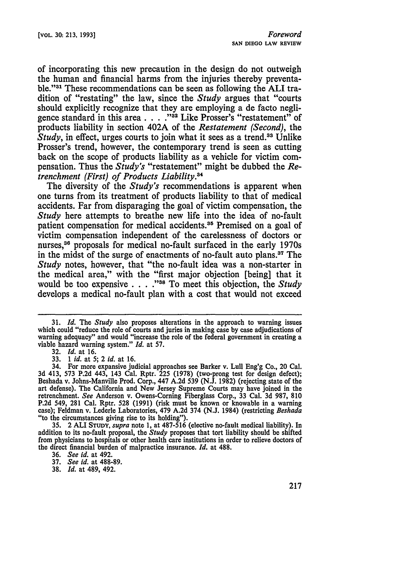of incorporating this new precaution in the design do not outweigh the human and financial harms from the injuries thereby preventable."31 These recommendations can be seen as following the **ALI** tradition of "restating" the law, since the *Study* argues that "courts should explicitly recognize that they are employing a de facto negligence standard in this area . . . . "<sup>32</sup> Like Prosser's "restatement" of products liability in section 402A of the *Restatement (Second),* the *Study*, in effect, urges courts to join what it sees as a trend.<sup>33</sup> Unlike Prosser's trend, however, the contemporary trend is seen as cutting back on the scope of products liability as a vehicle for victim compensation. Thus the *Study's* "restatement" might be dubbed the *Retrenchment (First) of Products Liability.4*

The diversity of the *Study's* recommendations is apparent when one turns from its treatment of products liability to that of medical accidents. Far from disparaging the goal of victim compensation, the *Study* here attempts to breathe new life into the idea of no-fault patient compensation for medical accidents.<sup>35</sup> Premised on a goal of victim compensation independent of the carelessness of doctors or nurses,<sup>36</sup> proposals for medical no-fault surfaced in the early 1970s in the midst of the surge of enactments of no-fault auto plans.37 The *Study* notes, however, that "the no-fault idea was a non-starter in the medical area," with the "first major objection [being] that it would be too expensive . . . .<sup>38</sup> To meet this objection, the *Study* develops a medical no-fault plan with a cost that would not exceed

**35.** 2 **ALI STUDY,** *supra* note **1,** at **487-516** (elective no-fault medical liability). In addition to its no-fault proposal, the *Study* proposes that tort liability should be shifted from physicians to hospitals or other health care institutions in order to relieve doctors of the direct financial burden of malpractice insurance. *Id.* at **488.**

**36.** *See id.* at 492.

**38.** *Id.* at 489, 492.

<sup>31.</sup> *Id.* The *Study* also proposes alterations in the approach to warning issues which could "reduce the role of courts and juries in making case by case adjudications of warning adequacy" and would "increase the role of the federal government in creating a viable hazard warning system." *Id.* at 57.

<sup>32.</sup> *Id.* at **16.**

**<sup>33.</sup>** *1 id.* at 5; *2 id.* at **16.**

<sup>34.</sup> For more expansive judicial approaches see Barker v. Lull Eng'g Co., 20 Cal. **3d** 413, 573 P.2d 443, 143 Cal. Rptr. 225 (1978) (two-prong test for design defect); Beshada v. Johns-Manville Prod. Corp., 447 A.2d 539 (N.J. 1982) (rejecting state of the art defense). The California and New Jersey Supreme Courts may have joined in the retrenchment. *See* Anderson v. Owens-Coming Fiberglass Corp., **33** Cal. **3d 987, 810 P.2d** 549, **281** Cal. Rptr. **528 (1991)** (risk must be known or knowable in a warning case); Feldman v. Lederle Laboratories, 479 **A.2d** 374 **(N.J.** 1984) (restricting *Beshada* "to the circumstances giving rise to its holding").

**<sup>37.</sup>** *See id.* at **488-89.**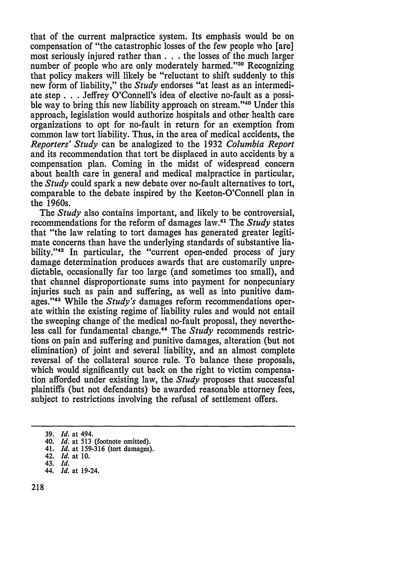that of the current malpractice system. Its emphasis would be on compensation of "the catastrophic losses of the few people who [are] most seriously injured rather than  $\ldots$  the losses of the much larger number of people who are only moderately harmed."<sup>39</sup> Recognizing that policy makers will likely be "reluctant to shift suddenly to this new form of liability," the *Study* endorses "at least as an intermediate step **. .** . Jeffrey O'Connell's idea of elective no-fault as a possible way to bring this new liability approach on stream."<sup>40</sup> Under this approach, legislation would authorize hospitals and other health care organizations to opt for no-fault in return for an exemption from common law tort liability. Thus, in the area of medical accidents, the *Reporters' Study* can be analogized to the 1932 *Columbia Report* and its recommendation that tort be displaced in auto accidents by a compensation plan. Coming in the midst of widespread concern about health care in general and medical malpractice in particular, the *Study* could spark a new debate over no-fault alternatives to tort, comparable to the debate inspired by the Keeton-O'Connell plan in the 1960s.

The *Study* also contains important, and likely to be controversial, recommendations for the reform of damages law.41 The *Study* states that "the law relating to tort damages has generated greater legitimate concerns than have the underlying standards of substantive liability."<sup>42</sup> In particular, the "current open-ended process of jury damage determination produces awards that are customarily unpredictable, occasionally far too large (and sometimes too small), and that channel disproportionate sums into payment for nonpecuniary injuries such as pain and suffering, as well as into punitive damages."43 While the *Study's* damages reform recommendations operate within the existing regime of liability rules and would not entail the sweeping change of the medical no-fault proposal, they nevertheless call for fundamental change.44 The *Study* recommends restrictions on pain and suffering and punitive damages, alteration (but not elimination) of joint and several liability, and an almost complete reversal of the collateral source rule. To balance these proposals, which would significantly cut back on the right to victim compensation afforded under existing law, the *Study* proposes that successful plaintiffs (but not defendants) be awarded reasonable attorney fees, subject to restrictions involving the refusal of settlement offers.

<sup>39.</sup> *Id.* at 494.

<sup>40.</sup> *Id.* at **513** (footnote omitted).

<sup>41.</sup> *Id.* at 159-316 (tort damages).

<sup>42.</sup> *Id.* at 10.

<sup>43.</sup> *Id.* 44. *Id.* at 19-24.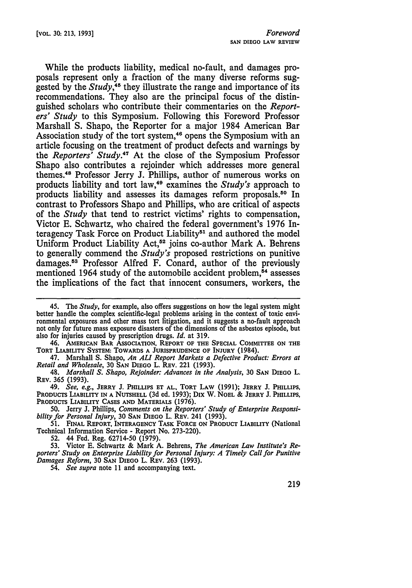While the products liability, medical no-fault, and damages proposals represent only a fraction of the many diverse reforms suggested **by** the *Study,45* they illustrate the range and importance of its recommendations. They also are the principal focus of the distinguished scholars who contribute their commentaries on the *Reporters' Study* to this Symposium. Following this Foreword Professor Marshall S. Shapo, the Reporter for a major 1984 American Bar Association study of the tort system,<sup>46</sup> opens the Symposium with an article focusing on the treatment of product defects and warnings by the *Reporters' Study.47* At the close of the Symposium Professor Shapo also contributes a rejoinder which addresses more general themes.48 Professor Jerry **J.** Phillips, author of numerous works on products liability and tort law,<sup>49</sup> examines the *Study's* approach to products liability and assesses its damages reform proposals. 50 In contrast to Professors Shapo and Phillips, who are critical of aspects of the *Study* that tend to restrict victims' rights to compensation, Victor E. Schwartz, who chaired the federal government's 1976 Interagency Task Force on Product Liability<sup>51</sup> and authored the model Uniform Product Liability Act,<sup>52</sup> joins co-author Mark A. Behrens to generally commend the *Study's* proposed restrictions on punitive damages.53 Professor Alfred F. Conard, author of the previously mentioned 1964 study of the automobile accident problem, $54$  assesses the implications of the fact that innocent consumers, workers, the

46. **AMERICAN BAR ASSOCIATION, REPORT OF THE SPECIAL COMMITTEE ON THE TORT LIABILITY SYSTEM: TOWARDS A JURISPRUDENCE OF** INJURY (1984).

47. Marshall **S.** Shapo, *An ALI Report Markets a Defective Product: Errors at Retail and Wholesale,* **30 SAN DIEGO** L. **REV.** 221 **(1993).**

48. *Marshall S. Shapo, Rejoinder: Advances in the Analysis,* **30 SAN DIEGO** L. **REV. 365 (1993).**

*49. See, e.g.,* **JERRY J. PHILLIPS ET AL., TORT LAW (1991);** JERRY **J. PHILLIPS, PRODUCTS** LIABILITY **IN A NUTSHELL (3d** ed. **1993); Dix** W. **NOEL &** JERRY **J. PHILLIPS, PRODUCTS** LIABILITY **CASES AND MATERIALS (1976).**

**50.** Jerry **J.** Phillips, *Comments on the Reporters' Study of Enterprise Responsibility for Personal Injury,* **30 SAN DIEGO** L. **REV.** 241 **(1993).**

**51. FINAL** REPORT, **INTERAGENCY** TASK **FORCE ON PRODUCT LIABILITY (National** Technical Information Service - Report No. **273-220).**

**52.** 44 Fed. Reg. **62714-50 (1979).**

**53.** Victor **E.** Schwartz **&** Mark **A.** Behrens, *The American Law Institute's Reporters' Study on Enterprise Liability for Personal Injury: A Timely Call for Punitive Damages Reform,* **30 SAN DIEGO** L. **REV. 263 (1993).**

54. *See supra* note **11 and accompanying text.**

<sup>45.</sup> The *Study,* for example, also offers suggestions on how the legal system might better handle the complex scientific-legal problems arising in the context of toxic environmental exposures and other mass tort litigation, and it suggests a no-fault approach not only for future mass exposure disasters of the dimensions of the asbestos episode, but also for injuries caused **by** prescription drugs. *Id.* at **319.**